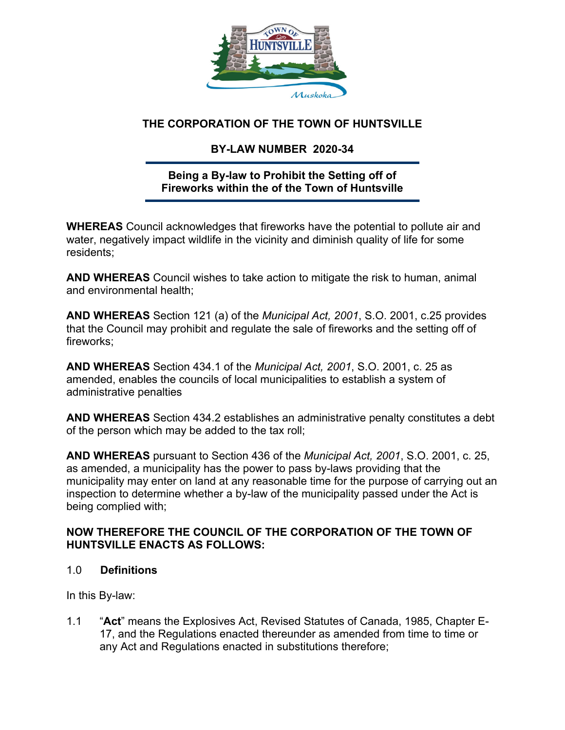

## **THE CORPORATION OF THE TOWN OF HUNTSVILLE**

# **BY-LAW NUMBER 2020-34**

### **Being a By-law to Prohibit the Setting off of Fireworks within the of the Town of Huntsville**

**WHEREAS** Council acknowledges that fireworks have the potential to pollute air and water, negatively impact wildlife in the vicinity and diminish quality of life for some residents;

**AND WHEREAS** Council wishes to take action to mitigate the risk to human, animal and environmental health;

**AND WHEREAS** Section 121 (a) of the *Municipal Act, 2001*, S.O. 2001, c.25 provides that the Council may prohibit and regulate the sale of fireworks and the setting off of fireworks;

**AND WHEREAS** Section 434.1 of the *Municipal Act, 2001*, S.O. 2001, c. 25 as amended, enables the councils of local municipalities to establish a system of administrative penalties

**AND WHEREAS** Section 434.2 establishes an administrative penalty constitutes a debt of the person which may be added to the tax roll;

**AND WHEREAS** pursuant to Section 436 of the *Municipal Act, 2001*, S.O. 2001, c. 25, as amended, a municipality has the power to pass by-laws providing that the municipality may enter on land at any reasonable time for the purpose of carrying out an inspection to determine whether a by-law of the municipality passed under the Act is being complied with;

### **NOW THEREFORE THE COUNCIL OF THE CORPORATION OF THE TOWN OF HUNTSVILLE ENACTS AS FOLLOWS:**

### 1.0 **Definitions**

In this By-law:

1.1 "**Act**" means the Explosives Act, Revised Statutes of Canada, 1985, Chapter E- 17, and the Regulations enacted thereunder as amended from time to time or any Act and Regulations enacted in substitutions therefore;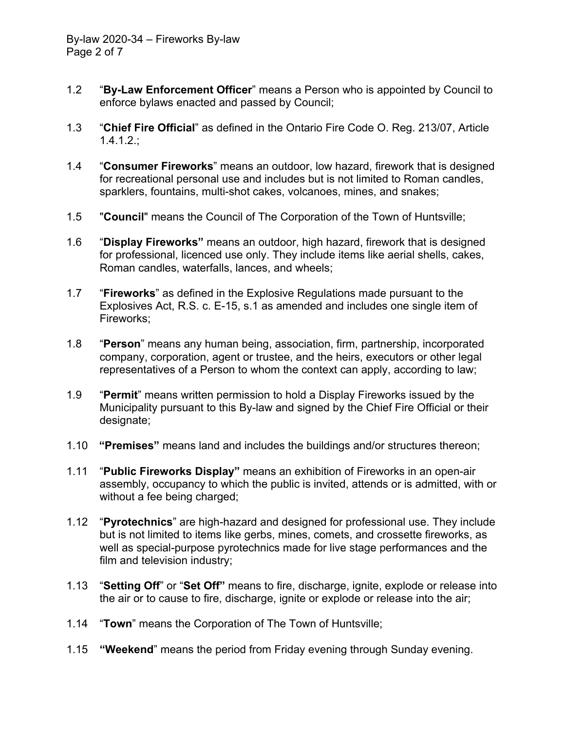- 1.2 "**By-Law Enforcement Officer**" means a Person who is appointed by Council to enforce bylaws enacted and passed by Council;
- 1.3 "**Chief Fire Official**" as defined in the Ontario Fire Code O. Reg. 213/07, Article 1.4.1.2.;
- 1.4 "**Consumer Fireworks**" means an outdoor, low hazard, firework that is designed for recreational personal use and includes but is not limited to Roman candles, sparklers, fountains, multi-shot cakes, volcanoes, mines, and snakes;
- 1.5 "**Council**" means the Council of The Corporation of the Town of Huntsville;
- 1.6 "**Display Fireworks"** means an outdoor, high hazard, firework that is designed for professional, licenced use only. They include items like aerial shells, cakes, Roman candles, waterfalls, lances, and wheels;
- 1.7 "**Fireworks**" as defined in the Explosive Regulations made pursuant to the Explosives Act, R.S. c. E-15, s.1 as amended and includes one single item of Fireworks;
- 1.8 "**Person**" means any human being, association, firm, partnership, incorporated company, corporation, agent or trustee, and the heirs, executors or other legal representatives of a Person to whom the context can apply, according to law;
- 1.9 "**Permit**" means written permission to hold a Display Fireworks issued by the Municipality pursuant to this By-law and signed by the Chief Fire Official or their designate;
- 1.10 **"Premises"** means land and includes the buildings and/or structures thereon;
- 1.11 "**Public Fireworks Display"** means an exhibition of Fireworks in an open-air assembly, occupancy to which the public is invited, attends or is admitted, with or without a fee being charged;
- 1.12 "**Pyrotechnics**" are high-hazard and designed for professional use. They include but is not limited to items like gerbs, mines, comets, and crossette fireworks, as well as special-purpose pyrotechnics made for live stage performances and the film and television industry;
- 1.13 "**Setting Off**" or "**Set Off"** means to fire, discharge, ignite, explode or release into the air or to cause to fire, discharge, ignite or explode or release into the air;
- 1.14 "**Town**" means the Corporation of The Town of Huntsville;
- 1.15 **"Weekend**" means the period from Friday evening through Sunday evening.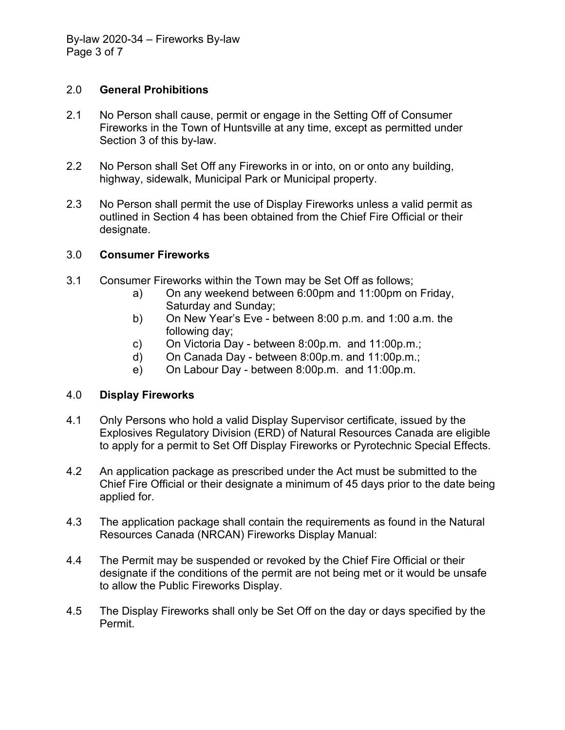#### 2.0 **General Prohibitions**

- 2.1 No Person shall cause, permit or engage in the Setting Off of Consumer Fireworks in the Town of Huntsville at any time, except as permitted under Section 3 of this by-law.
- 2.2 No Person shall Set Off any Fireworks in or into, on or onto any building, highway, sidewalk, Municipal Park or Municipal property.
- 2.3 No Person shall permit the use of Display Fireworks unless a valid permit as outlined in Section 4 has been obtained from the Chief Fire Official or their designate.

#### 3.0 **Consumer Fireworks**

- 3.1 Consumer Fireworks within the Town may be Set Off as follows;
	- a) On any weekend between 6:00pm and 11:00pm on Friday, Saturday and Sunday;
	- b) On New Year's Eve between 8:00 p.m. and 1:00 a.m. the following day;
	- c) On Victoria Day between 8:00p.m. and 11:00p.m.;
	- d) On Canada Day between 8:00p.m. and 11:00p.m.;
	- e) On Labour Day between 8:00p.m. and 11:00p.m.

#### 4.0 **Display Fireworks**

- 4.1 Only Persons who hold a valid Display Supervisor certificate, issued by the Explosives Regulatory Division (ERD) of Natural Resources Canada are eligible to apply for a permit to Set Off Display Fireworks or Pyrotechnic Special Effects.
- 4.2 An application package as prescribed under the Act must be submitted to the Chief Fire Official or their designate a minimum of 45 days prior to the date being applied for.
- 4.3 The application package shall contain the requirements as found in the Natural Resources Canada (NRCAN) Fireworks Display Manual:
- 4.4 The Permit may be suspended or revoked by the Chief Fire Official or their designate if the conditions of the permit are not being met or it would be unsafe to allow the Public Fireworks Display.
- 4.5 The Display Fireworks shall only be Set Off on the day or days specified by the Permit.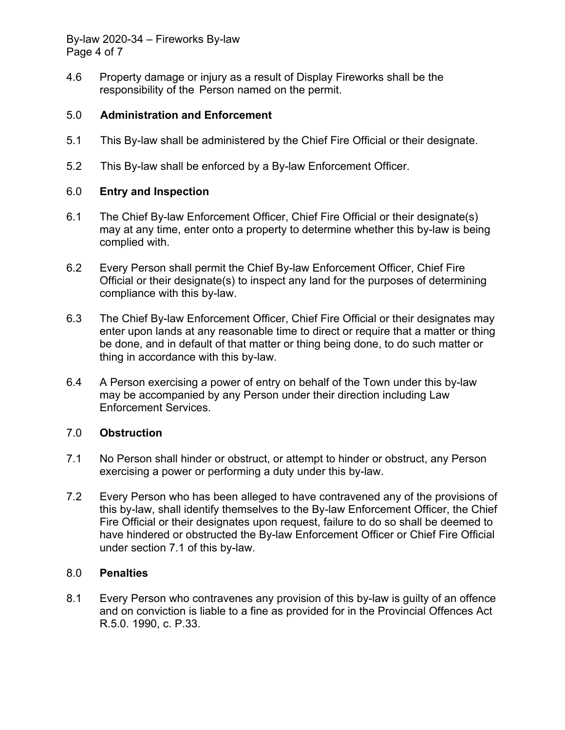By-law 2020-34 – Fireworks By-law Page 4 of 7

4.6 Property damage or injury as a result of Display Fireworks shall be the responsibility of the Person named on the permit.

#### 5.0 **Administration and Enforcement**

- 5.1 This By-law shall be administered by the Chief Fire Official or their designate.
- 5.2 This By-law shall be enforced by a By-law Enforcement Officer.

#### 6.0 **Entry and Inspection**

- 6.1 The Chief By-law Enforcement Officer, Chief Fire Official or their designate(s) may at any time, enter onto a property to determine whether this by-law is being complied with.
- 6.2 Every Person shall permit the Chief By-law Enforcement Officer, Chief Fire Official or their designate(s) to inspect any land for the purposes of determining compliance with this by-law.
- 6.3 The Chief By-law Enforcement Officer, Chief Fire Official or their designates may enter upon lands at any reasonable time to direct or require that a matter or thing be done, and in default of that matter or thing being done, to do such matter or thing in accordance with this by-law.
- 6.4 A Person exercising a power of entry on behalf of the Town under this by-law may be accompanied by any Person under their direction including Law Enforcement Services.

#### 7.0 **Obstruction**

- 7.1 No Person shall hinder or obstruct, or attempt to hinder or obstruct, any Person exercising a power or performing a duty under this by-law.
- 7.2 Every Person who has been alleged to have contravened any of the provisions of this by-law, shall identify themselves to the By-law Enforcement Officer, the Chief Fire Official or their designates upon request, failure to do so shall be deemed to have hindered or obstructed the By-law Enforcement Officer or Chief Fire Official under section 7.1 of this by-law.

#### 8.0 **Penalties**

8.1 Every Person who contravenes any provision of this by-law is guilty of an offence and on conviction is liable to a fine as provided for in the Provincial Offences Act R.5.0. 1990, c. P.33.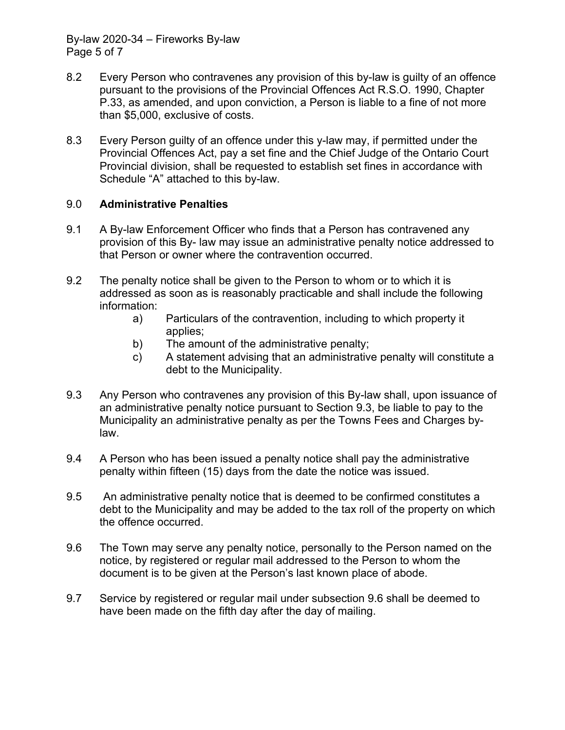By-law 2020-34 – Fireworks By-law Page 5 of 7

- 8.2 Every Person who contravenes any provision of this by-law is guilty of an offence pursuant to the provisions of the Provincial Offences Act R.S.O. 1990, Chapter P.33, as amended, and upon conviction, a Person is liable to a fine of not more than \$5,000, exclusive of costs.
- 8.3 Every Person guilty of an offence under this y-law may, if permitted under the Provincial Offences Act, pay a set fine and the Chief Judge of the Ontario Court Provincial division, shall be requested to establish set fines in accordance with Schedule "A" attached to this by-law.

### 9.0 **Administrative Penalties**

- 9.1 A By-law Enforcement Officer who finds that a Person has contravened any provision of this By- law may issue an administrative penalty notice addressed to that Person or owner where the contravention occurred.
- 9.2 The penalty notice shall be given to the Person to whom or to which it is addressed as soon as is reasonably practicable and shall include the following information:
	- a) Particulars of the contravention, including to which property it applies;
	- b) The amount of the administrative penalty;
	- c) A statement advising that an administrative penalty will constitute a debt to the Municipality.
- 9.3 Any Person who contravenes any provision of this By-law shall, upon issuance of an administrative penalty notice pursuant to Section 9.3, be liable to pay to the Municipality an administrative penalty as per the Towns Fees and Charges by law.
- 9.4 A Person who has been issued a penalty notice shall pay the administrative penalty within fifteen (15) days from the date the notice was issued.
- 9.5 An administrative penalty notice that is deemed to be confirmed constitutes a debt to the Municipality and may be added to the tax roll of the property on which the offence occurred.
- 9.6 The Town may serve any penalty notice, personally to the Person named on the notice, by registered or regular mail addressed to the Person to whom the document is to be given at the Person's last known place of abode.
- 9.7 Service by registered or regular mail under subsection 9.6 shall be deemed to have been made on the fifth day after the day of mailing.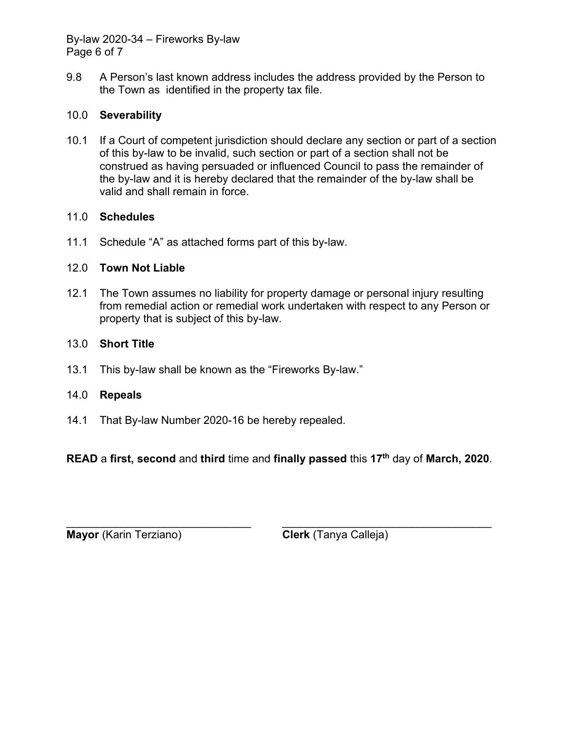By-law 2020-34 – Fireworks By-law Page 6 of 7

9.8 A Person's last known address includes the address provided by the Person to the Town as identified in the property tax file.

### 10.0 **Severability**

10.1 If a Court of competent jurisdiction should declare any section or part of a section of this by-law to be invalid, such section or part of a section shall not be construed as having persuaded or influenced Council to pass the remainder of the by-law and it is hereby declared that the remainder of the by-law shall be valid and shall remain in force.

#### 11.0 **Schedules**

11.1 Schedule "A" as attached forms part of this by-law.

### 12.0 **Town Not Liable**

12.1 The Town assumes no liability for property damage or personal injury resulting from remedial action or remedial work undertaken with respect to any Person or property that is subject of this by-law.

### 13.0 **Short Title**

13.1 This by-law shall be known as the "Fireworks By-law."

#### 14.0 **Repeals**

14.1 That By-law Number 2020-16 be hereby repealed.

**READ** a **first, second** and **third** time and **finally passed** this **17th** day of **March, 2020**.

 $\_$  , and the contribution of the contribution of  $\overline{L}$  , and  $\overline{L}$  , and  $\overline{L}$  , and  $\overline{L}$  , and  $\overline{L}$ **Mayor** (Karin Terziano) **Clerk** (Tanya Calleja)